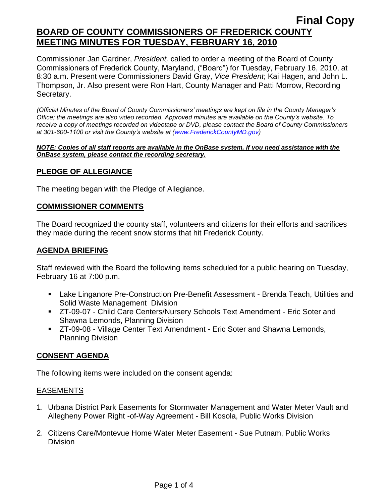Commissioner Jan Gardner, *President,* called to order a meeting of the Board of County Commissioners of Frederick County, Maryland, ("Board") for Tuesday, February 16, 2010, at 8:30 a.m. Present were Commissioners David Gray, *Vice President*; Kai Hagen, and John L. Thompson, Jr. Also present were Ron Hart, County Manager and Patti Morrow, Recording Secretary.

*(Official Minutes of the Board of County Commissioners' meetings are kept on file in the County Manager's Office; the meetings are also video recorded. Approved minutes are available on the County's website. To receive a copy of meetings recorded on videotape or DVD, please contact the Board of County Commissioners at 301-600-1100 or visit the County's website at [\(www.FrederickCountyMD.gov\)](http://www.frederickcountymd.gov/)*

#### *NOTE: Copies of all staff reports are available in the OnBase system. If you need assistance with the OnBase system, please contact the recording secretary.*

### **PLEDGE OF ALLEGIANCE**

The meeting began with the Pledge of Allegiance.

### **COMMISSIONER COMMENTS**

The Board recognized the county staff, volunteers and citizens for their efforts and sacrifices they made during the recent snow storms that hit Frederick County.

#### **AGENDA BRIEFING**

Staff reviewed with the Board the following items scheduled for a public hearing on Tuesday, February 16 at 7:00 p.m.

- Lake Linganore Pre-Construction Pre-Benefit Assessment Brenda Teach, Utilities and Solid Waste Management Division
- ZT-09-07 Child Care Centers/Nursery Schools Text Amendment Eric Soter and Shawna Lemonds, Planning Division
- ZT-09-08 Village Center Text Amendment Eric Soter and Shawna Lemonds, Planning Division

### **CONSENT AGENDA**

The following items were included on the consent agenda:

### EASEMENTS

- 1. Urbana District Park Easements for Stormwater Management and Water Meter Vault and Allegheny Power Right -of-Way Agreement - Bill Kosola, Public Works Division
- 2. Citizens Care/Montevue Home Water Meter Easement Sue Putnam, Public Works Division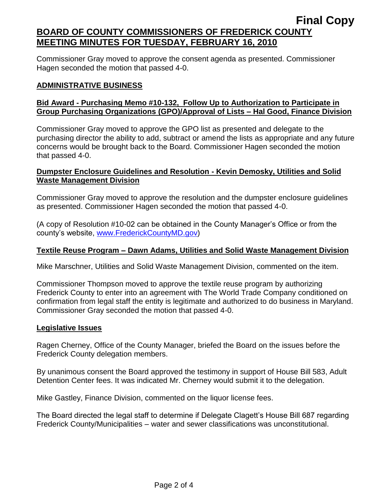Commissioner Gray moved to approve the consent agenda as presented. Commissioner Hagen seconded the motion that passed 4-0.

### **ADMINISTRATIVE BUSINESS**

## **Bid Award - Purchasing Memo #10-132, Follow Up to Authorization to Participate in Group Purchasing Organizations (GPO)/Approval of Lists – Hal Good, Finance Division**

Commissioner Gray moved to approve the GPO list as presented and delegate to the purchasing director the ability to add, subtract or amend the lists as appropriate and any future concerns would be brought back to the Board. Commissioner Hagen seconded the motion that passed 4-0.

### **Dumpster Enclosure Guidelines and Resolution - Kevin Demosky, Utilities and Solid Waste Management Division**

Commissioner Gray moved to approve the resolution and the dumpster enclosure guidelines as presented. Commissioner Hagen seconded the motion that passed 4-0.

(A copy of Resolution #10-02 can be obtained in the County Manager's Office or from the county's website, [www.FrederickCountyMD.gov\)](http://www.frederickcountymd.gov/)

### **Textile Reuse Program – Dawn Adams, Utilities and Solid Waste Management Division**

Mike Marschner, Utilities and Solid Waste Management Division, commented on the item.

Commissioner Thompson moved to approve the textile reuse program by authorizing Frederick County to enter into an agreement with The World Trade Company conditioned on confirmation from legal staff the entity is legitimate and authorized to do business in Maryland. Commissioner Gray seconded the motion that passed 4-0.

### **Legislative Issues**

Ragen Cherney, Office of the County Manager, briefed the Board on the issues before the Frederick County delegation members.

By unanimous consent the Board approved the testimony in support of House Bill 583, Adult Detention Center fees. It was indicated Mr. Cherney would submit it to the delegation.

Mike Gastley, Finance Division, commented on the liquor license fees.

The Board directed the legal staff to determine if Delegate Clagett's House Bill 687 regarding Frederick County/Municipalities – water and sewer classifications was unconstitutional.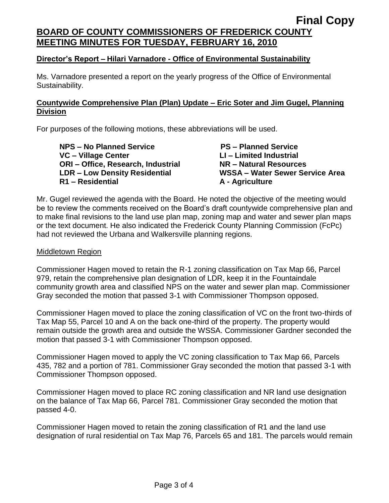### **Director's Report – Hilari Varnadore - Office of Environmental Sustainability**

Ms. Varnadore presented a report on the yearly progress of the Office of Environmental Sustainability.

### **Countywide Comprehensive Plan (Plan) Update – Eric Soter and Jim Gugel, Planning Division**

For purposes of the following motions, these abbreviations will be used.

**NPS – No Planned Service PS – Planned Service VC – Village Center LI – Limited Industrial ORI – Office, Research, Industrial NR – Natural Resources R1 – Residential A - Agriculture**

**LDR – Low Density Residential WSSA – Water Sewer Service Area**

Mr. Gugel reviewed the agenda with the Board. He noted the objective of the meeting would be to review the comments received on the Board's draft countywide comprehensive plan and to make final revisions to the land use plan map, zoning map and water and sewer plan maps or the text document. He also indicated the Frederick County Planning Commission (FcPc) had not reviewed the Urbana and Walkersville planning regions.

#### Middletown Region

Commissioner Hagen moved to retain the R-1 zoning classification on Tax Map 66, Parcel 979, retain the comprehensive plan designation of LDR, keep it in the Fountaindale community growth area and classified NPS on the water and sewer plan map. Commissioner Gray seconded the motion that passed 3-1 with Commissioner Thompson opposed.

Commissioner Hagen moved to place the zoning classification of VC on the front two-thirds of Tax Map 55, Parcel 10 and A on the back one-third of the property. The property would remain outside the growth area and outside the WSSA. Commissioner Gardner seconded the motion that passed 3-1 with Commissioner Thompson opposed.

Commissioner Hagen moved to apply the VC zoning classification to Tax Map 66, Parcels 435, 782 and a portion of 781. Commissioner Gray seconded the motion that passed 3-1 with Commissioner Thompson opposed.

Commissioner Hagen moved to place RC zoning classification and NR land use designation on the balance of Tax Map 66, Parcel 781. Commissioner Gray seconded the motion that passed 4-0.

Commissioner Hagen moved to retain the zoning classification of R1 and the land use designation of rural residential on Tax Map 76, Parcels 65 and 181. The parcels would remain